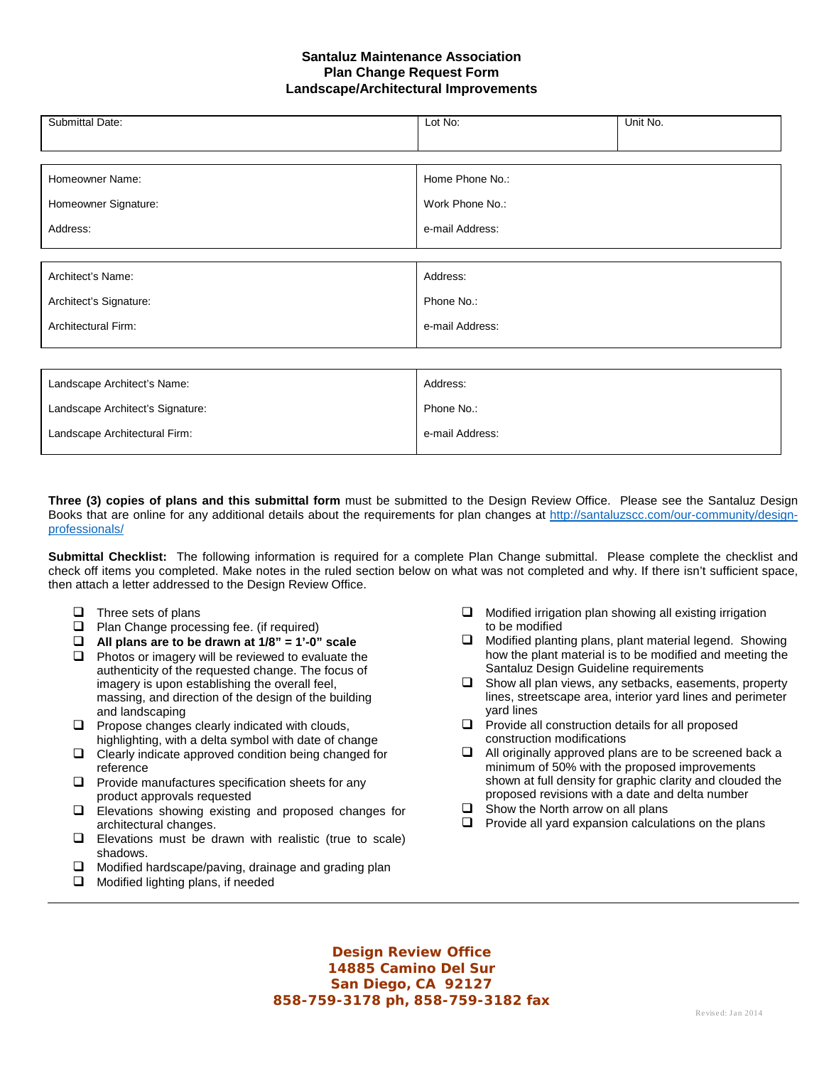## **Santaluz Maintenance Association Plan Change Request Form Landscape/Architectural Improvements**

| Home Phone No.: |  |  |  |
|-----------------|--|--|--|
|                 |  |  |  |
| Work Phone No.: |  |  |  |
|                 |  |  |  |
| e-mail Address: |  |  |  |
|                 |  |  |  |
|                 |  |  |  |
|                 |  |  |  |
| Address:        |  |  |  |
| Phone No.:      |  |  |  |
|                 |  |  |  |
| e-mail Address: |  |  |  |
|                 |  |  |  |
|                 |  |  |  |
|                 |  |  |  |
|                 |  |  |  |
|                 |  |  |  |

| Landscape Architect's Name:      | Address:        |
|----------------------------------|-----------------|
| Landscape Architect's Signature: | Phone No.:      |
| Landscape Architectural Firm:    | e-mail Address: |

**Three (3) copies of plans and this submittal form** must be submitted to the Design Review Office. Please see the Santaluz Design Books that are online for any additional details about the requirements for plan changes at [http://santaluzscc.com/our-community/design](http://santaluzscc.com/our-community/design-professionals/)[professionals/](http://santaluzscc.com/our-community/design-professionals/)

**Submittal Checklist:** The following information is required for a complete Plan Change submittal. Please complete the checklist and check off items you completed. Make notes in the ruled section below on what was not completed and why. If there isn't sufficient space, then attach a letter addressed to the Design Review Office.

- $\Box$  Three sets of plans
- **Q** Plan Change processing fee. (if required)
- **All plans are to be drawn at 1/8" = 1'-0" scale**
- $\Box$  Photos or imagery will be reviewed to evaluate the authenticity of the requested change. The focus of imagery is upon establishing the overall feel, massing, and direction of the design of the building and landscaping
- $\Box$  Propose changes clearly indicated with clouds, highlighting, with a delta symbol with date of change
- $\Box$  Clearly indicate approved condition being changed for reference
- $\Box$  Provide manufactures specification sheets for any product approvals requested
- Elevations showing existing and proposed changes for architectural changes.
- $\Box$  Elevations must be drawn with realistic (true to scale) shadows.
- $\Box$  Modified hardscape/paving, drainage and grading plan
- $\Box$  Modified lighting plans, if needed
- $\Box$  Modified irrigation plan showing all existing irrigation to be modified
- $\Box$  Modified planting plans, plant material legend. Showing how the plant material is to be modified and meeting the Santaluz Design Guideline requirements
- $\Box$  Show all plan views, any setbacks, easements, property lines, streetscape area, interior yard lines and perimeter yard lines
- $\Box$  Provide all construction details for all proposed construction modifications
- $\Box$  All originally approved plans are to be screened back a minimum of 50% with the proposed improvements shown at full density for graphic clarity and clouded the proposed revisions with a date and delta number
- $\Box$  Show the North arrow on all plans
- $\Box$  Provide all yard expansion calculations on the plans

**Design Review Office 14885 Camino Del Sur San Diego, CA 92127 858-759-3178 ph, 858-759-3182 fax**